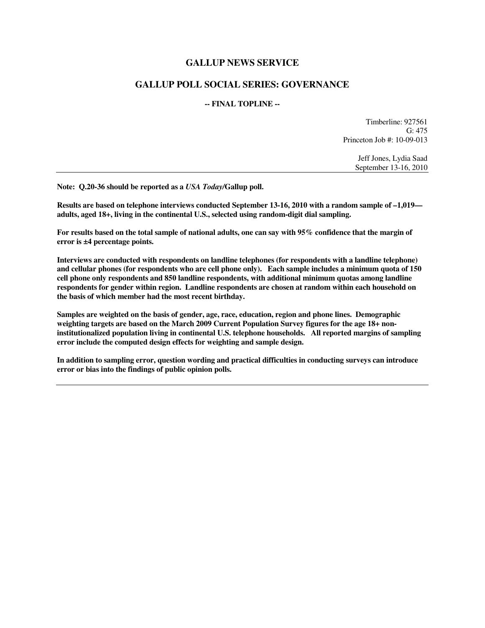## **GALLUP NEWS SERVICE**

## **GALLUP POLL SOCIAL SERIES: GOVERNANCE**

## **-- FINAL TOPLINE --**

Timberline: 927561 G: 475 Princeton Job #: 10-09-013

> Jeff Jones, Lydia Saad September 13-16, 2010

**Note: Q.20-36 should be reported as a** *USA Today/***Gallup poll.** 

**Results are based on telephone interviews conducted September 13-16, 2010 with a random sample of –1,019 adults, aged 18+, living in the continental U.S., selected using random-digit dial sampling.** 

**For results based on the total sample of national adults, one can say with 95% confidence that the margin of error is ±4 percentage points.** 

**Interviews are conducted with respondents on landline telephones (for respondents with a landline telephone) and cellular phones (for respondents who are cell phone only). Each sample includes a minimum quota of 150 cell phone only respondents and 850 landline respondents, with additional minimum quotas among landline respondents for gender within region. Landline respondents are chosen at random within each household on the basis of which member had the most recent birthday.** 

**Samples are weighted on the basis of gender, age, race, education, region and phone lines. Demographic weighting targets are based on the March 2009 Current Population Survey figures for the age 18+ noninstitutionalized population living in continental U.S. telephone households. All reported margins of sampling error include the computed design effects for weighting and sample design.** 

**In addition to sampling error, question wording and practical difficulties in conducting surveys can introduce error or bias into the findings of public opinion polls.**